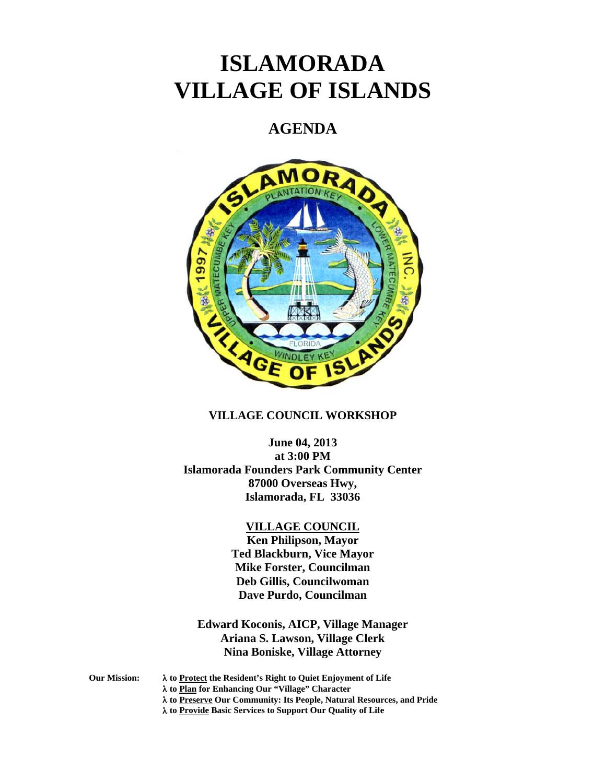# **ISLAMORADA VILLAGE OF ISLANDS**

## **AGENDA**



#### **VILLAGE COUNCIL WORKSHOP**

**June 04, 2013 at 3:00 PM Islamorada Founders Park Community Center 87000 Overseas Hwy, Islamorada, FL 33036** 

#### **VILLAGE COUNCIL**

**Ken Philipson, Mayor Ted Blackburn, Vice Mayor Mike Forster, Councilman Deb Gillis, Councilwoman Dave Purdo, Councilman** 

**Edward Koconis, AICP, Village Manager Ariana S. Lawson, Village Clerk Nina Boniske, Village Attorney** 

**Our Mission: to Protect the Resident's Right to Quiet Enjoyment of Life** 

 **to Plan for Enhancing Our "Village" Character** 

 **to Preserve Our Community: Its People, Natural Resources, and Pride** 

 **to Provide Basic Services to Support Our Quality of Life**